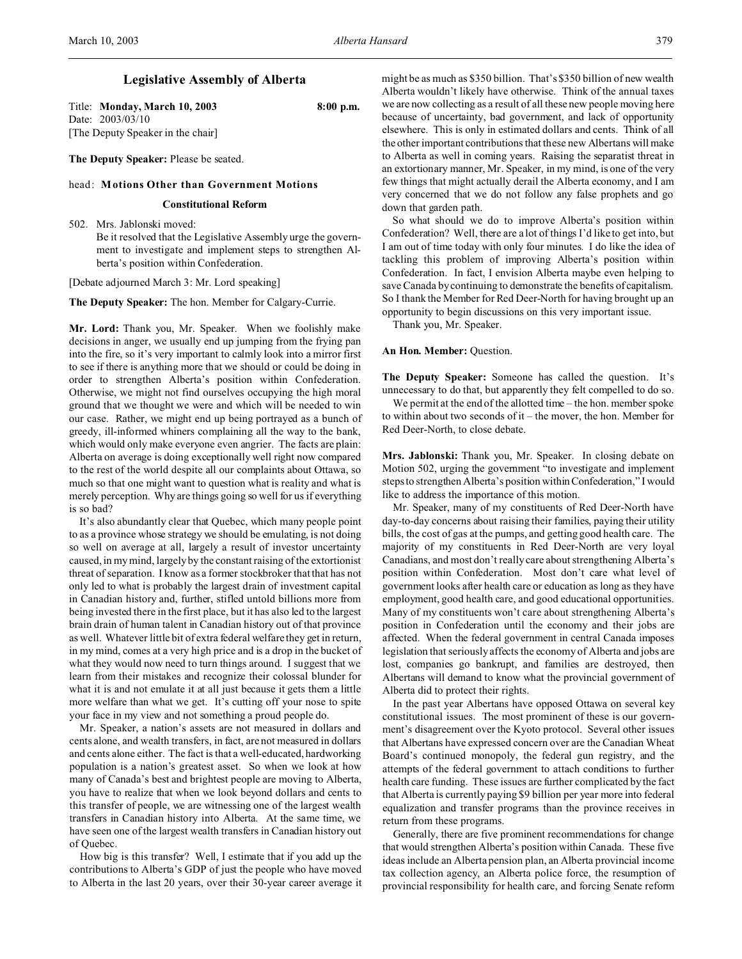## **Legislative Assembly of Alberta**

Title: **Monday, March 10, 2003 8:00 p.m.** Date: 2003/03/10 [The Deputy Speaker in the chair]

**The Deputy Speaker:** Please be seated.

### head: **Motions Other than Government Motions**

### **Constitutional Reform**

502. Mrs. Jablonski moved: Be it resolved that the Legislative Assembly urge the government to investigate and implement steps to strengthen Alberta's position within Confederation.

[Debate adjourned March 3: Mr. Lord speaking]

**The Deputy Speaker:** The hon. Member for Calgary-Currie.

**Mr. Lord:** Thank you, Mr. Speaker. When we foolishly make decisions in anger, we usually end up jumping from the frying pan into the fire, so it's very important to calmly look into a mirror first to see if there is anything more that we should or could be doing in order to strengthen Alberta's position within Confederation. Otherwise, we might not find ourselves occupying the high moral ground that we thought we were and which will be needed to win our case. Rather, we might end up being portrayed as a bunch of greedy, ill-informed whiners complaining all the way to the bank, which would only make everyone even angrier. The facts are plain: Alberta on average is doing exceptionally well right now compared to the rest of the world despite all our complaints about Ottawa, so much so that one might want to question what is reality and what is merely perception. Why are things going so well for us if everything is so bad?

It's also abundantly clear that Quebec, which many people point to as a province whose strategy we should be emulating, is not doing so well on average at all, largely a result of investor uncertainty caused, in my mind, largely by the constant raising of the extortionist threat of separation. I know as a former stockbroker that that has not only led to what is probably the largest drain of investment capital in Canadian history and, further, stifled untold billions more from being invested there in the first place, but it has also led to the largest brain drain of human talent in Canadian history out of that province as well. Whatever little bit of extra federal welfare they get in return, in my mind, comes at a very high price and is a drop in the bucket of what they would now need to turn things around. I suggest that we learn from their mistakes and recognize their colossal blunder for what it is and not emulate it at all just because it gets them a little more welfare than what we get. It's cutting off your nose to spite your face in my view and not something a proud people do.

Mr. Speaker, a nation's assets are not measured in dollars and cents alone, and wealth transfers, in fact, are not measured in dollars and cents alone either. The fact is that a well-educated, hardworking population is a nation's greatest asset. So when we look at how many of Canada's best and brightest people are moving to Alberta, you have to realize that when we look beyond dollars and cents to this transfer of people, we are witnessing one of the largest wealth transfers in Canadian history into Alberta. At the same time, we have seen one of the largest wealth transfers in Canadian history out of Quebec.

How big is this transfer? Well, I estimate that if you add up the contributions to Alberta's GDP of just the people who have moved to Alberta in the last 20 years, over their 30-year career average it might be as much as \$350 billion. That's \$350 billion of new wealth Alberta wouldn't likely have otherwise. Think of the annual taxes we are now collecting as a result of all these new people moving here because of uncertainty, bad government, and lack of opportunity elsewhere. This is only in estimated dollars and cents. Think of all the other important contributions that these new Albertans will make to Alberta as well in coming years. Raising the separatist threat in an extortionary manner, Mr. Speaker, in my mind, is one of the very few things that might actually derail the Alberta economy, and I am very concerned that we do not follow any false prophets and go down that garden path.

So what should we do to improve Alberta's position within Confederation? Well, there are a lot of things I'd like to get into, but I am out of time today with only four minutes. I do like the idea of tackling this problem of improving Alberta's position within Confederation. In fact, I envision Alberta maybe even helping to save Canada by continuing to demonstrate the benefits of capitalism. So I thank the Member for Red Deer-North for having brought up an opportunity to begin discussions on this very important issue.

Thank you, Mr. Speaker.

## **An Hon. Member:** Question.

**The Deputy Speaker:** Someone has called the question. It's unnecessary to do that, but apparently they felt compelled to do so.

We permit at the end of the allotted time – the hon. member spoke to within about two seconds of it – the mover, the hon. Member for Red Deer-North, to close debate.

**Mrs. Jablonski:** Thank you, Mr. Speaker. In closing debate on Motion 502, urging the government "to investigate and implement steps to strengthen Alberta's position withinConfederation," I would like to address the importance of this motion.

Mr. Speaker, many of my constituents of Red Deer-North have day-to-day concerns about raising their families, paying their utility bills, the cost of gas at the pumps, and getting good health care. The majority of my constituents in Red Deer-North are very loyal Canadians, and most don't really care about strengthening Alberta's position within Confederation. Most don't care what level of government looks after health care or education as long as they have employment, good health care, and good educational opportunities. Many of my constituents won't care about strengthening Alberta's position in Confederation until the economy and their jobs are affected. When the federal government in central Canada imposes legislation that seriously affects the economy of Alberta and jobs are lost, companies go bankrupt, and families are destroyed, then Albertans will demand to know what the provincial government of Alberta did to protect their rights.

In the past year Albertans have opposed Ottawa on several key constitutional issues. The most prominent of these is our government's disagreement over the Kyoto protocol. Several other issues that Albertans have expressed concern over are the Canadian Wheat Board's continued monopoly, the federal gun registry, and the attempts of the federal government to attach conditions to further health care funding. These issues are further complicated by the fact that Alberta is currently paying \$9 billion per year more into federal equalization and transfer programs than the province receives in return from these programs.

Generally, there are five prominent recommendations for change that would strengthen Alberta's position within Canada. These five ideas include an Alberta pension plan, an Alberta provincial income tax collection agency, an Alberta police force, the resumption of provincial responsibility for health care, and forcing Senate reform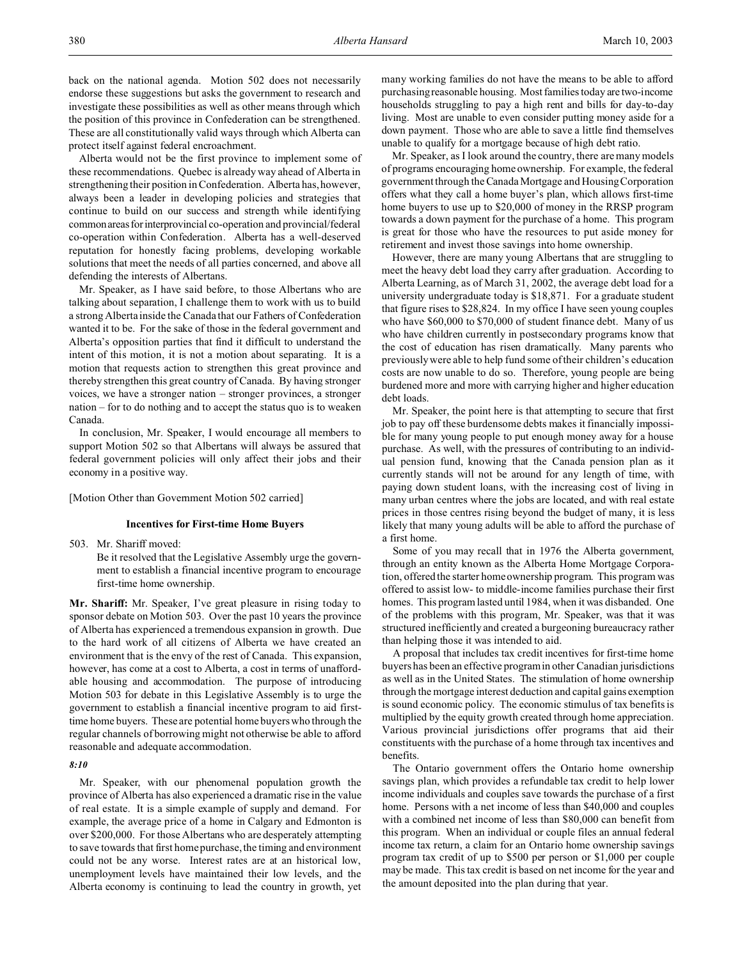back on the national agenda. Motion 502 does not necessarily endorse these suggestions but asks the government to research and investigate these possibilities as well as other means through which the position of this province in Confederation can be strengthened. These are all constitutionally valid ways through which Alberta can protect itself against federal encroachment.

Alberta would not be the first province to implement some of these recommendations. Quebec is already way ahead of Alberta in strengthening their position in Confederation. Alberta has, however, always been a leader in developing policies and strategies that continue to build on our success and strength while identifying commonareas for interprovincial co-operation and provincial/federal co-operation within Confederation. Alberta has a well-deserved reputation for honestly facing problems, developing workable solutions that meet the needs of all parties concerned, and above all defending the interests of Albertans.

Mr. Speaker, as I have said before, to those Albertans who are talking about separation, I challenge them to work with us to build a strong Alberta inside the Canada that our Fathers of Confederation wanted it to be. For the sake of those in the federal government and Alberta's opposition parties that find it difficult to understand the intent of this motion, it is not a motion about separating. It is a motion that requests action to strengthen this great province and thereby strengthen this great country of Canada. By having stronger voices, we have a stronger nation – stronger provinces, a stronger nation – for to do nothing and to accept the status quo is to weaken Canada.

In conclusion, Mr. Speaker, I would encourage all members to support Motion 502 so that Albertans will always be assured that federal government policies will only affect their jobs and their economy in a positive way.

[Motion Other than Government Motion 502 carried]

# **Incentives for First-time Home Buyers**

503. Mr. Shariff moved:

Be it resolved that the Legislative Assembly urge the government to establish a financial incentive program to encourage first-time home ownership.

**Mr. Shariff:** Mr. Speaker, I've great pleasure in rising today to sponsor debate on Motion 503. Over the past 10 years the province of Alberta has experienced a tremendous expansion in growth. Due to the hard work of all citizens of Alberta we have created an environment that is the envy of the rest of Canada. This expansion, however, has come at a cost to Alberta, a cost in terms of unaffordable housing and accommodation. The purpose of introducing Motion 503 for debate in this Legislative Assembly is to urge the government to establish a financial incentive program to aid firsttime home buyers. These are potential home buyers who through the regular channels of borrowing might not otherwise be able to afford reasonable and adequate accommodation.

*8:10*

Mr. Speaker, with our phenomenal population growth the province of Alberta has also experienced a dramatic rise in the value of real estate. It is a simple example of supply and demand. For example, the average price of a home in Calgary and Edmonton is over \$200,000. For those Albertans who are desperately attempting to save towards that first home purchase, the timing and environment could not be any worse. Interest rates are at an historical low, unemployment levels have maintained their low levels, and the Alberta economy is continuing to lead the country in growth, yet

many working families do not have the means to be able to afford purchasing reasonable housing. Most families today are two-income households struggling to pay a high rent and bills for day-to-day living. Most are unable to even consider putting money aside for a down payment. Those who are able to save a little find themselves unable to qualify for a mortgage because of high debt ratio.

Mr. Speaker, as I look around the country, there are many models of programs encouraging home ownership. For example, the federal government through the Canada Mortgage and Housing Corporation offers what they call a home buyer's plan, which allows first-time home buyers to use up to \$20,000 of money in the RRSP program towards a down payment for the purchase of a home. This program is great for those who have the resources to put aside money for retirement and invest those savings into home ownership.

However, there are many young Albertans that are struggling to meet the heavy debt load they carry after graduation. According to Alberta Learning, as of March 31, 2002, the average debt load for a university undergraduate today is \$18,871. For a graduate student that figure rises to \$28,824. In my office I have seen young couples who have \$60,000 to \$70,000 of student finance debt. Many of us who have children currently in postsecondary programs know that the cost of education has risen dramatically. Many parents who previously were able to help fund some of their children's education costs are now unable to do so. Therefore, young people are being burdened more and more with carrying higher and higher education debt loads.

Mr. Speaker, the point here is that attempting to secure that first job to pay off these burdensome debts makes it financially impossible for many young people to put enough money away for a house purchase. As well, with the pressures of contributing to an individual pension fund, knowing that the Canada pension plan as it currently stands will not be around for any length of time, with paying down student loans, with the increasing cost of living in many urban centres where the jobs are located, and with real estate prices in those centres rising beyond the budget of many, it is less likely that many young adults will be able to afford the purchase of a first home.

Some of you may recall that in 1976 the Alberta government, through an entity known as the Alberta Home Mortgage Corporation, offered the starter home ownership program. This program was offered to assist low- to middle-income families purchase their first homes. This program lasted until 1984, when it was disbanded. One of the problems with this program, Mr. Speaker, was that it was structured inefficiently and created a burgeoning bureaucracy rather than helping those it was intended to aid.

A proposal that includes tax credit incentives for first-time home buyers has been an effective program in other Canadian jurisdictions as well as in the United States. The stimulation of home ownership through the mortgage interest deduction and capital gains exemption is sound economic policy. The economic stimulus of tax benefits is multiplied by the equity growth created through home appreciation. Various provincial jurisdictions offer programs that aid their constituents with the purchase of a home through tax incentives and benefits.

The Ontario government offers the Ontario home ownership savings plan, which provides a refundable tax credit to help lower income individuals and couples save towards the purchase of a first home. Persons with a net income of less than \$40,000 and couples with a combined net income of less than \$80,000 can benefit from this program. When an individual or couple files an annual federal income tax return, a claim for an Ontario home ownership savings program tax credit of up to \$500 per person or \$1,000 per couple may be made. This tax credit is based on net income for the year and the amount deposited into the plan during that year.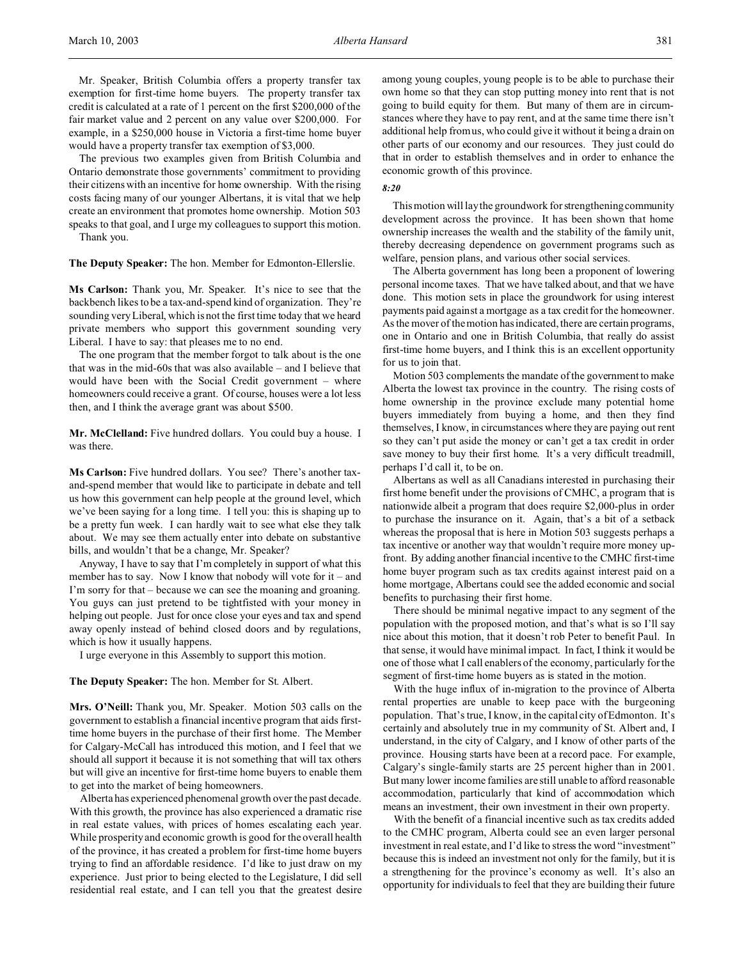Mr. Speaker, British Columbia offers a property transfer tax exemption for first-time home buyers. The property transfer tax credit is calculated at a rate of 1 percent on the first \$200,000 of the fair market value and 2 percent on any value over \$200,000. For example, in a \$250,000 house in Victoria a first-time home buyer would have a property transfer tax exemption of \$3,000.

The previous two examples given from British Columbia and Ontario demonstrate those governments' commitment to providing their citizens with an incentive for home ownership. With the rising costs facing many of our younger Albertans, it is vital that we help create an environment that promotes home ownership. Motion 503 speaks to that goal, and I urge my colleagues to support this motion.

Thank you.

**The Deputy Speaker:** The hon. Member for Edmonton-Ellerslie.

**Ms Carlson:** Thank you, Mr. Speaker. It's nice to see that the backbench likes to be a tax-and-spend kind of organization. They're sounding very Liberal, which is not the first time today that we heard private members who support this government sounding very Liberal. I have to say: that pleases me to no end.

The one program that the member forgot to talk about is the one that was in the mid-60s that was also available – and I believe that would have been with the Social Credit government – where homeowners could receive a grant. Of course, houses were a lot less then, and I think the average grant was about \$500.

**Mr. McClelland:** Five hundred dollars. You could buy a house. I was there.

**Ms Carlson:** Five hundred dollars. You see? There's another taxand-spend member that would like to participate in debate and tell us how this government can help people at the ground level, which we've been saying for a long time. I tell you: this is shaping up to be a pretty fun week. I can hardly wait to see what else they talk about. We may see them actually enter into debate on substantive bills, and wouldn't that be a change, Mr. Speaker?

Anyway, I have to say that I'm completely in support of what this member has to say. Now I know that nobody will vote for it – and I'm sorry for that – because we can see the moaning and groaning. You guys can just pretend to be tightfisted with your money in helping out people. Just for once close your eyes and tax and spend away openly instead of behind closed doors and by regulations, which is how it usually happens.

I urge everyone in this Assembly to support this motion.

**The Deputy Speaker:** The hon. Member for St. Albert.

**Mrs. O'Neill:** Thank you, Mr. Speaker. Motion 503 calls on the government to establish a financial incentive program that aids firsttime home buyers in the purchase of their first home. The Member for Calgary-McCall has introduced this motion, and I feel that we should all support it because it is not something that will tax others but will give an incentive for first-time home buyers to enable them to get into the market of being homeowners.

Alberta has experienced phenomenal growth over the past decade. With this growth, the province has also experienced a dramatic rise in real estate values, with prices of homes escalating each year. While prosperity and economic growth is good for the overall health of the province, it has created a problem for first-time home buyers trying to find an affordable residence. I'd like to just draw on my experience. Just prior to being elected to the Legislature, I did sell residential real estate, and I can tell you that the greatest desire

among young couples, young people is to be able to purchase their own home so that they can stop putting money into rent that is not going to build equity for them. But many of them are in circumstances where they have to pay rent, and at the same time there isn't additional help from us, who could give it without it being a drain on other parts of our economy and our resources. They just could do that in order to establish themselves and in order to enhance the economic growth of this province.

### *8:20*

This motion will lay the groundwork for strengthening community development across the province. It has been shown that home ownership increases the wealth and the stability of the family unit, thereby decreasing dependence on government programs such as welfare, pension plans, and various other social services.

The Alberta government has long been a proponent of lowering personal income taxes. That we have talked about, and that we have done. This motion sets in place the groundwork for using interest payments paid against a mortgage as a tax credit for the homeowner. As the mover of the motion has indicated, there are certain programs, one in Ontario and one in British Columbia, that really do assist first-time home buyers, and I think this is an excellent opportunity for us to join that.

Motion 503 complements the mandate of the government to make Alberta the lowest tax province in the country. The rising costs of home ownership in the province exclude many potential home buyers immediately from buying a home, and then they find themselves, I know, in circumstances where they are paying out rent so they can't put aside the money or can't get a tax credit in order save money to buy their first home. It's a very difficult treadmill, perhaps I'd call it, to be on.

Albertans as well as all Canadians interested in purchasing their first home benefit under the provisions of CMHC, a program that is nationwide albeit a program that does require \$2,000-plus in order to purchase the insurance on it. Again, that's a bit of a setback whereas the proposal that is here in Motion 503 suggests perhaps a tax incentive or another way that wouldn't require more money upfront. By adding another financial incentive to the CMHC first-time home buyer program such as tax credits against interest paid on a home mortgage, Albertans could see the added economic and social benefits to purchasing their first home.

There should be minimal negative impact to any segment of the population with the proposed motion, and that's what is so I'll say nice about this motion, that it doesn't rob Peter to benefit Paul. In that sense, it would have minimal impact. In fact, I think it would be one of those what I call enablers of the economy, particularly for the segment of first-time home buyers as is stated in the motion.

With the huge influx of in-migration to the province of Alberta rental properties are unable to keep pace with the burgeoning population. That's true, I know, in the capital city of Edmonton. It's certainly and absolutely true in my community of St. Albert and, I understand, in the city of Calgary, and I know of other parts of the province. Housing starts have been at a record pace. For example, Calgary's single-family starts are 25 percent higher than in 2001. But many lower income families are still unable to afford reasonable accommodation, particularly that kind of accommodation which means an investment, their own investment in their own property.

With the benefit of a financial incentive such as tax credits added to the CMHC program, Alberta could see an even larger personal investment in real estate, and I'd like to stress the word "investment" because this is indeed an investment not only for the family, but it is a strengthening for the province's economy as well. It's also an opportunity for individuals to feel that they are building their future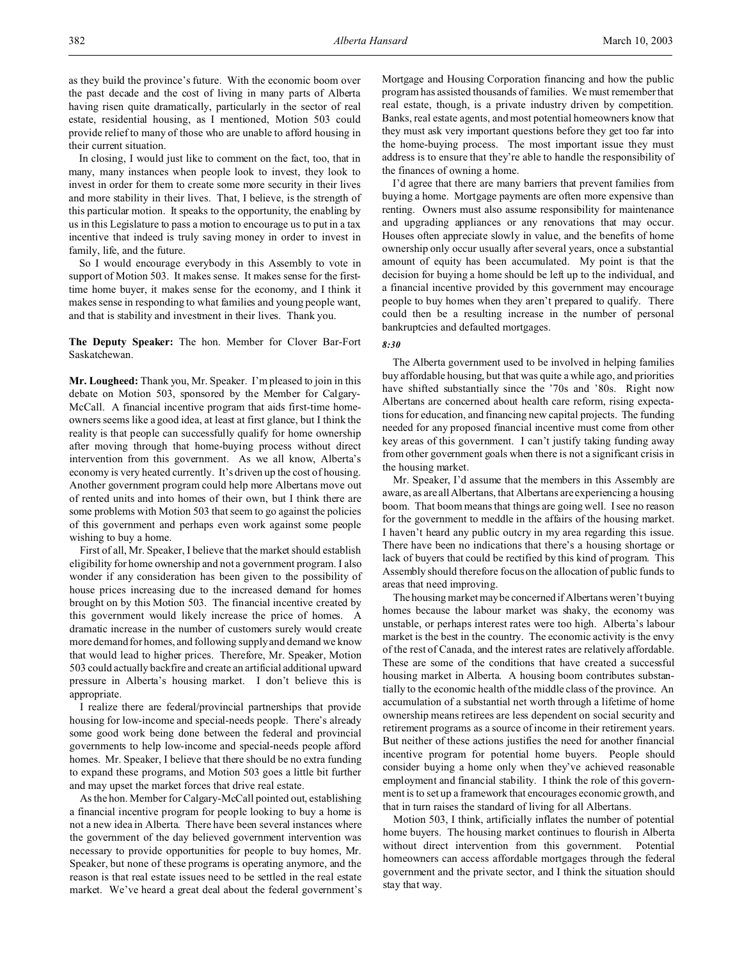as they build the province's future. With the economic boom over the past decade and the cost of living in many parts of Alberta having risen quite dramatically, particularly in the sector of real estate, residential housing, as I mentioned, Motion 503 could provide relief to many of those who are unable to afford housing in their current situation.

In closing, I would just like to comment on the fact, too, that in many, many instances when people look to invest, they look to invest in order for them to create some more security in their lives and more stability in their lives. That, I believe, is the strength of this particular motion. It speaks to the opportunity, the enabling by us in this Legislature to pass a motion to encourage us to put in a tax incentive that indeed is truly saving money in order to invest in family, life, and the future.

So I would encourage everybody in this Assembly to vote in support of Motion 503. It makes sense. It makes sense for the firsttime home buyer, it makes sense for the economy, and I think it makes sense in responding to what families and young people want, and that is stability and investment in their lives. Thank you.

**The Deputy Speaker:** The hon. Member for Clover Bar-Fort Saskatchewan.

**Mr. Lougheed:** Thank you, Mr. Speaker. I'm pleased to join in this debate on Motion 503, sponsored by the Member for Calgary-McCall. A financial incentive program that aids first-time homeowners seems like a good idea, at least at first glance, but I think the reality is that people can successfully qualify for home ownership after moving through that home-buying process without direct intervention from this government. As we all know, Alberta's economy is very heated currently. It's driven up the cost of housing. Another government program could help more Albertans move out of rented units and into homes of their own, but I think there are some problems with Motion 503 that seem to go against the policies of this government and perhaps even work against some people wishing to buy a home.

First of all, Mr. Speaker, I believe that the market should establish eligibility for home ownership and not a government program. I also wonder if any consideration has been given to the possibility of house prices increasing due to the increased demand for homes brought on by this Motion 503. The financial incentive created by this government would likely increase the price of homes. A dramatic increase in the number of customers surely would create more demand for homes, and following supply and demand we know that would lead to higher prices. Therefore, Mr. Speaker, Motion 503 could actually backfire and create an artificial additional upward pressure in Alberta's housing market. I don't believe this is appropriate.

I realize there are federal/provincial partnerships that provide housing for low-income and special-needs people. There's already some good work being done between the federal and provincial governments to help low-income and special-needs people afford homes. Mr. Speaker, I believe that there should be no extra funding to expand these programs, and Motion 503 goes a little bit further and may upset the market forces that drive real estate.

As the hon. Member for Calgary-McCall pointed out, establishing a financial incentive program for people looking to buy a home is not a new idea in Alberta. There have been several instances where the government of the day believed government intervention was necessary to provide opportunities for people to buy homes, Mr. Speaker, but none of these programs is operating anymore, and the reason is that real estate issues need to be settled in the real estate market. We've heard a great deal about the federal government's

Mortgage and Housing Corporation financing and how the public program has assisted thousands of families. We must remember that real estate, though, is a private industry driven by competition. Banks, real estate agents, and most potential homeowners know that they must ask very important questions before they get too far into the home-buying process. The most important issue they must address is to ensure that they're able to handle the responsibility of the finances of owning a home.

I'd agree that there are many barriers that prevent families from buying a home. Mortgage payments are often more expensive than renting. Owners must also assume responsibility for maintenance and upgrading appliances or any renovations that may occur. Houses often appreciate slowly in value, and the benefits of home ownership only occur usually after several years, once a substantial amount of equity has been accumulated. My point is that the decision for buying a home should be left up to the individual, and a financial incentive provided by this government may encourage people to buy homes when they aren't prepared to qualify. There could then be a resulting increase in the number of personal bankruptcies and defaulted mortgages.

#### *8:30*

The Alberta government used to be involved in helping families buy affordable housing, but that was quite a while ago, and priorities have shifted substantially since the '70s and '80s. Right now Albertans are concerned about health care reform, rising expectations for education, and financing new capital projects. The funding needed for any proposed financial incentive must come from other key areas of this government. I can't justify taking funding away from other government goals when there is not a significant crisis in the housing market.

Mr. Speaker, I'd assume that the members in this Assembly are aware, as are all Albertans, that Albertans are experiencing a housing boom. That boom means that things are going well. I see no reason for the government to meddle in the affairs of the housing market. I haven't heard any public outcry in my area regarding this issue. There have been no indications that there's a housing shortage or lack of buyers that could be rectified by this kind of program. This Assembly should therefore focus on the allocation of public funds to areas that need improving.

The housing market may be concerned if Albertans weren't buying homes because the labour market was shaky, the economy was unstable, or perhaps interest rates were too high. Alberta's labour market is the best in the country. The economic activity is the envy of the rest of Canada, and the interest rates are relatively affordable. These are some of the conditions that have created a successful housing market in Alberta. A housing boom contributes substantially to the economic health of the middle class of the province. An accumulation of a substantial net worth through a lifetime of home ownership means retirees are less dependent on social security and retirement programs as a source of income in their retirement years. But neither of these actions justifies the need for another financial incentive program for potential home buyers. People should consider buying a home only when they've achieved reasonable employment and financial stability. I think the role of this government is to set up a framework that encourages economic growth, and that in turn raises the standard of living for all Albertans.

Motion 503, I think, artificially inflates the number of potential home buyers. The housing market continues to flourish in Alberta without direct intervention from this government. Potential homeowners can access affordable mortgages through the federal government and the private sector, and I think the situation should stay that way.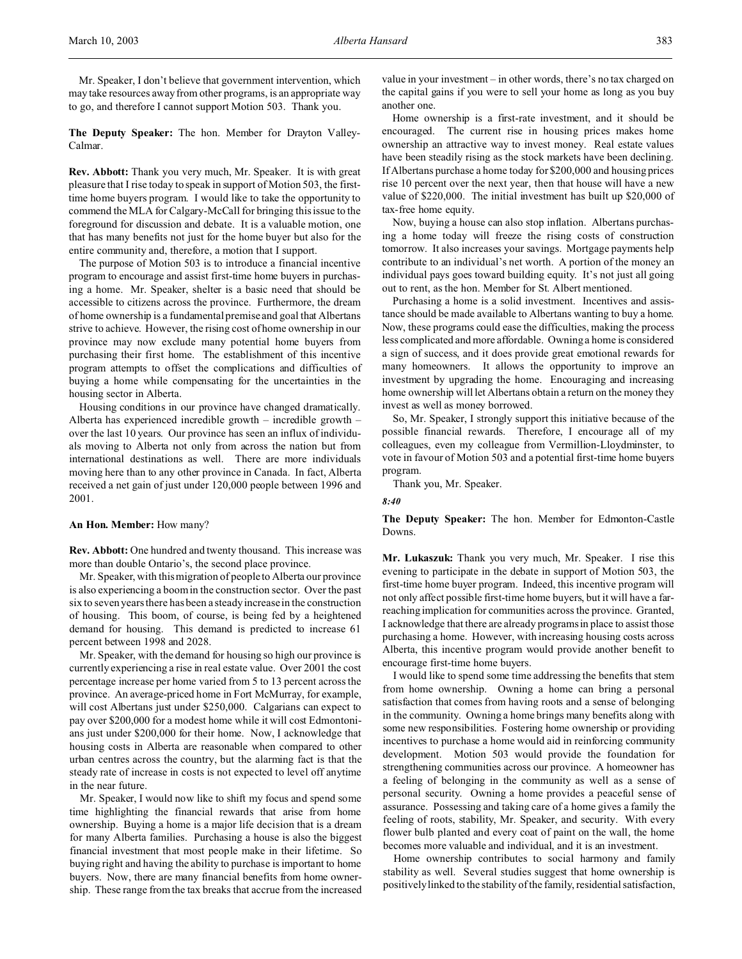Mr. Speaker, I don't believe that government intervention, which may take resources away from other programs, is an appropriate way to go, and therefore I cannot support Motion 503. Thank you.

**The Deputy Speaker:** The hon. Member for Drayton Valley-Calmar.

**Rev. Abbott:** Thank you very much, Mr. Speaker. It is with great pleasure that I rise today to speak in support of Motion 503, the firsttime home buyers program. I would like to take the opportunity to commend the MLA for Calgary-McCall for bringing this issue to the foreground for discussion and debate. It is a valuable motion, one that has many benefits not just for the home buyer but also for the entire community and, therefore, a motion that I support.

The purpose of Motion 503 is to introduce a financial incentive program to encourage and assist first-time home buyers in purchasing a home. Mr. Speaker, shelter is a basic need that should be accessible to citizens across the province. Furthermore, the dream of home ownership is a fundamental premise and goal that Albertans strive to achieve. However, the rising cost of home ownership in our province may now exclude many potential home buyers from purchasing their first home. The establishment of this incentive program attempts to offset the complications and difficulties of buying a home while compensating for the uncertainties in the housing sector in Alberta.

Housing conditions in our province have changed dramatically. Alberta has experienced incredible growth – incredible growth – over the last 10 years. Our province has seen an influx of individuals moving to Alberta not only from across the nation but from international destinations as well. There are more individuals moving here than to any other province in Canada. In fact, Alberta received a net gain of just under 120,000 people between 1996 and 2001.

### **An Hon. Member:** How many?

**Rev. Abbott:** One hundred and twenty thousand. This increase was more than double Ontario's, the second place province.

Mr. Speaker, with this migration of people to Alberta our province is also experiencing a boom in the construction sector. Over the past six to seven years there has been a steady increase in the construction of housing. This boom, of course, is being fed by a heightened demand for housing. This demand is predicted to increase 61 percent between 1998 and 2028.

Mr. Speaker, with the demand for housing so high our province is currently experiencing a rise in real estate value. Over 2001 the cost percentage increase per home varied from 5 to 13 percent across the province. An average-priced home in Fort McMurray, for example, will cost Albertans just under \$250,000. Calgarians can expect to pay over \$200,000 for a modest home while it will cost Edmontonians just under \$200,000 for their home. Now, I acknowledge that housing costs in Alberta are reasonable when compared to other urban centres across the country, but the alarming fact is that the steady rate of increase in costs is not expected to level off anytime in the near future.

Mr. Speaker, I would now like to shift my focus and spend some time highlighting the financial rewards that arise from home ownership. Buying a home is a major life decision that is a dream for many Alberta families. Purchasing a house is also the biggest financial investment that most people make in their lifetime. So buying right and having the ability to purchase is important to home buyers. Now, there are many financial benefits from home ownership. These range from the tax breaks that accrue from the increased

value in your investment – in other words, there's no tax charged on the capital gains if you were to sell your home as long as you buy another one.

Home ownership is a first-rate investment, and it should be encouraged. The current rise in housing prices makes home ownership an attractive way to invest money. Real estate values have been steadily rising as the stock markets have been declining. If Albertans purchase a home today for \$200,000 and housing prices rise 10 percent over the next year, then that house will have a new value of \$220,000. The initial investment has built up \$20,000 of tax-free home equity.

Now, buying a house can also stop inflation. Albertans purchasing a home today will freeze the rising costs of construction tomorrow. It also increases your savings. Mortgage payments help contribute to an individual's net worth. A portion of the money an individual pays goes toward building equity. It's not just all going out to rent, as the hon. Member for St. Albert mentioned.

Purchasing a home is a solid investment. Incentives and assistance should be made available to Albertans wanting to buy a home. Now, these programs could ease the difficulties, making the process less complicated and more affordable. Owning a home is considered a sign of success, and it does provide great emotional rewards for many homeowners. It allows the opportunity to improve an investment by upgrading the home. Encouraging and increasing home ownership will let Albertans obtain a return on the money they invest as well as money borrowed.

So, Mr. Speaker, I strongly support this initiative because of the possible financial rewards. Therefore, I encourage all of my colleagues, even my colleague from Vermillion-Lloydminster, to vote in favour of Motion 503 and a potential first-time home buyers program.

Thank you, Mr. Speaker.

#### *8:40*

**The Deputy Speaker:** The hon. Member for Edmonton-Castle Downs.

**Mr. Lukaszuk:** Thank you very much, Mr. Speaker. I rise this evening to participate in the debate in support of Motion 503, the first-time home buyer program. Indeed, this incentive program will not only affect possible first-time home buyers, but it will have a farreaching implication for communities across the province. Granted, I acknowledge that there are already programs in place to assist those purchasing a home. However, with increasing housing costs across Alberta, this incentive program would provide another benefit to encourage first-time home buyers.

I would like to spend some time addressing the benefits that stem from home ownership. Owning a home can bring a personal satisfaction that comes from having roots and a sense of belonging in the community. Owning a home brings many benefits along with some new responsibilities. Fostering home ownership or providing incentives to purchase a home would aid in reinforcing community development. Motion 503 would provide the foundation for strengthening communities across our province. A homeowner has a feeling of belonging in the community as well as a sense of personal security. Owning a home provides a peaceful sense of assurance. Possessing and taking care of a home gives a family the feeling of roots, stability, Mr. Speaker, and security. With every flower bulb planted and every coat of paint on the wall, the home becomes more valuable and individual, and it is an investment.

Home ownership contributes to social harmony and family stability as well. Several studies suggest that home ownership is positively linked to the stability of the family, residential satisfaction,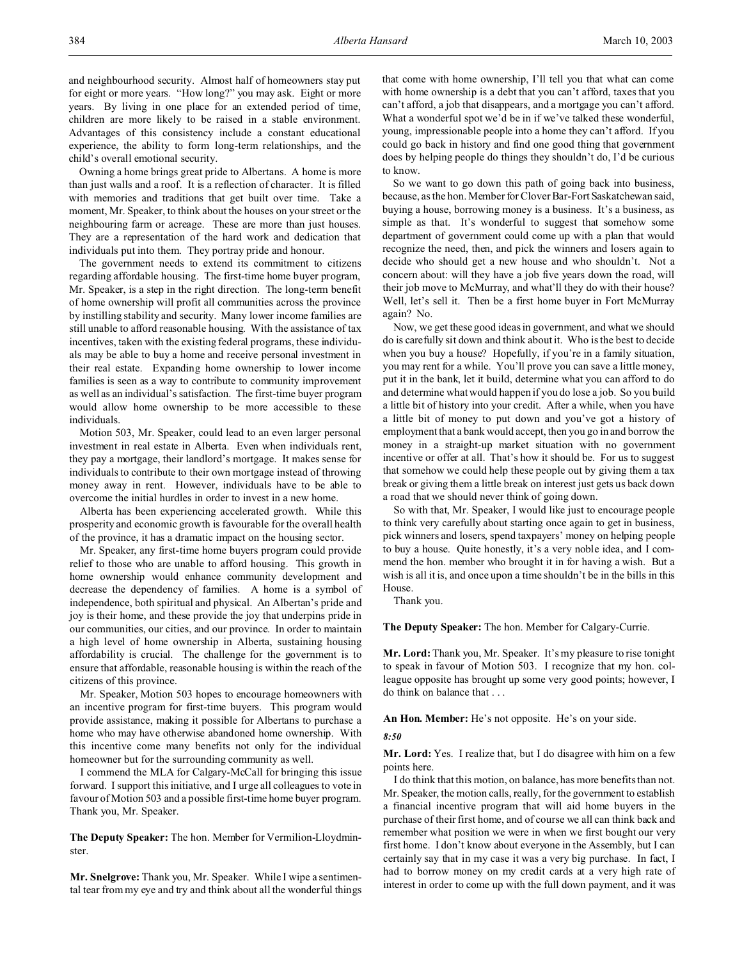and neighbourhood security. Almost half of homeowners stay put for eight or more years. "How long?" you may ask. Eight or more years. By living in one place for an extended period of time, children are more likely to be raised in a stable environment. Advantages of this consistency include a constant educational experience, the ability to form long-term relationships, and the child's overall emotional security.

Owning a home brings great pride to Albertans. A home is more than just walls and a roof. It is a reflection of character. It is filled with memories and traditions that get built over time. Take a moment, Mr. Speaker, to think about the houses on your street or the neighbouring farm or acreage. These are more than just houses. They are a representation of the hard work and dedication that individuals put into them. They portray pride and honour.

The government needs to extend its commitment to citizens regarding affordable housing. The first-time home buyer program, Mr. Speaker, is a step in the right direction. The long-term benefit of home ownership will profit all communities across the province by instilling stability and security. Many lower income families are still unable to afford reasonable housing. With the assistance of tax incentives, taken with the existing federal programs, these individuals may be able to buy a home and receive personal investment in their real estate. Expanding home ownership to lower income families is seen as a way to contribute to community improvement as well as an individual's satisfaction. The first-time buyer program would allow home ownership to be more accessible to these individuals.

Motion 503, Mr. Speaker, could lead to an even larger personal investment in real estate in Alberta. Even when individuals rent, they pay a mortgage, their landlord's mortgage. It makes sense for individuals to contribute to their own mortgage instead of throwing money away in rent. However, individuals have to be able to overcome the initial hurdles in order to invest in a new home.

Alberta has been experiencing accelerated growth. While this prosperity and economic growth is favourable for the overall health of the province, it has a dramatic impact on the housing sector.

Mr. Speaker, any first-time home buyers program could provide relief to those who are unable to afford housing. This growth in home ownership would enhance community development and decrease the dependency of families. A home is a symbol of independence, both spiritual and physical. An Albertan's pride and joy is their home, and these provide the joy that underpins pride in our communities, our cities, and our province. In order to maintain a high level of home ownership in Alberta, sustaining housing affordability is crucial. The challenge for the government is to ensure that affordable, reasonable housing is within the reach of the citizens of this province.

Mr. Speaker, Motion 503 hopes to encourage homeowners with an incentive program for first-time buyers. This program would provide assistance, making it possible for Albertans to purchase a home who may have otherwise abandoned home ownership. With this incentive come many benefits not only for the individual homeowner but for the surrounding community as well.

I commend the MLA for Calgary-McCall for bringing this issue forward. I support this initiative, and I urge all colleagues to vote in favour of Motion 503 and a possible first-time home buyer program. Thank you, Mr. Speaker.

**The Deputy Speaker:** The hon. Member for Vermilion-Lloydminster.

**Mr. Snelgrove:** Thank you, Mr. Speaker. While I wipe a sentimental tear from my eye and try and think about all the wonderful things

that come with home ownership, I'll tell you that what can come with home ownership is a debt that you can't afford, taxes that you can't afford, a job that disappears, and a mortgage you can't afford. What a wonderful spot we'd be in if we've talked these wonderful, young, impressionable people into a home they can't afford. If you could go back in history and find one good thing that government does by helping people do things they shouldn't do, I'd be curious to know.

So we want to go down this path of going back into business, because, as the hon. Member for Clover Bar-Fort Saskatchewan said, buying a house, borrowing money is a business. It's a business, as simple as that. It's wonderful to suggest that somehow some department of government could come up with a plan that would recognize the need, then, and pick the winners and losers again to decide who should get a new house and who shouldn't. Not a concern about: will they have a job five years down the road, will their job move to McMurray, and what'll they do with their house? Well, let's sell it. Then be a first home buyer in Fort McMurray again? No.

Now, we get these good ideas in government, and what we should do is carefully sit down and think about it. Who is the best to decide when you buy a house? Hopefully, if you're in a family situation, you may rent for a while. You'll prove you can save a little money, put it in the bank, let it build, determine what you can afford to do and determine what would happen if you do lose a job. So you build a little bit of history into your credit. After a while, when you have a little bit of money to put down and you've got a history of employment that a bank would accept, then you go in and borrow the money in a straight-up market situation with no government incentive or offer at all. That's how it should be. For us to suggest that somehow we could help these people out by giving them a tax break or giving them a little break on interest just gets us back down a road that we should never think of going down.

So with that, Mr. Speaker, I would like just to encourage people to think very carefully about starting once again to get in business, pick winners and losers, spend taxpayers' money on helping people to buy a house. Quite honestly, it's a very noble idea, and I commend the hon. member who brought it in for having a wish. But a wish is all it is, and once upon a time shouldn't be in the bills in this House.

Thank you.

**The Deputy Speaker:** The hon. Member for Calgary-Currie.

**Mr. Lord:**Thank you, Mr. Speaker. It's my pleasure to rise tonight to speak in favour of Motion 503. I recognize that my hon. colleague opposite has brought up some very good points; however, I do think on balance that . . .

### **An Hon. Member:** He's not opposite. He's on your side.

# *8:50*

**Mr. Lord:** Yes. I realize that, but I do disagree with him on a few points here.

I do think that this motion, on balance, has more benefits than not. Mr. Speaker, the motion calls, really, for the government to establish a financial incentive program that will aid home buyers in the purchase of their first home, and of course we all can think back and remember what position we were in when we first bought our very first home. I don't know about everyone in the Assembly, but I can certainly say that in my case it was a very big purchase. In fact, I had to borrow money on my credit cards at a very high rate of interest in order to come up with the full down payment, and it was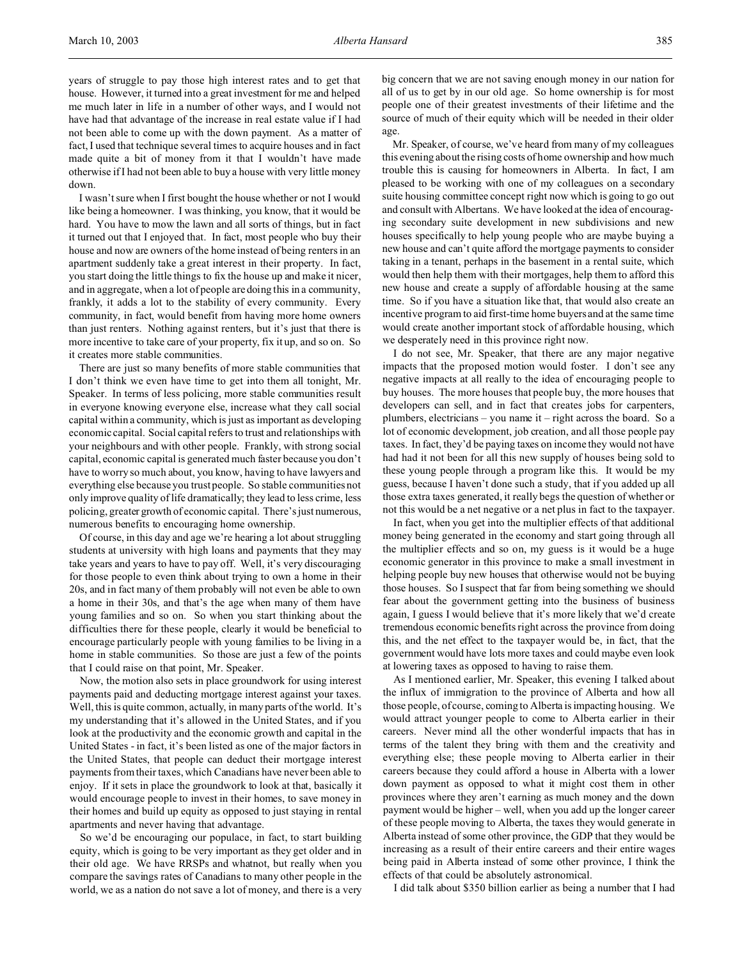years of struggle to pay those high interest rates and to get that house. However, it turned into a great investment for me and helped me much later in life in a number of other ways, and I would not have had that advantage of the increase in real estate value if I had not been able to come up with the down payment. As a matter of fact, I used that technique several times to acquire houses and in fact made quite a bit of money from it that I wouldn't have made otherwise if I had not been able to buy a house with very little money down.

I wasn't sure when I first bought the house whether or not I would like being a homeowner. I was thinking, you know, that it would be hard. You have to mow the lawn and all sorts of things, but in fact it turned out that I enjoyed that. In fact, most people who buy their house and now are owners of the home instead of being renters in an apartment suddenly take a great interest in their property. In fact, you start doing the little things to fix the house up and make it nicer, and in aggregate, when a lot of people are doing this in a community, frankly, it adds a lot to the stability of every community. Every community, in fact, would benefit from having more home owners than just renters. Nothing against renters, but it's just that there is more incentive to take care of your property, fix it up, and so on. So it creates more stable communities.

There are just so many benefits of more stable communities that I don't think we even have time to get into them all tonight, Mr. Speaker. In terms of less policing, more stable communities result in everyone knowing everyone else, increase what they call social capital within a community, which is just as important as developing economic capital. Social capital refers to trust and relationships with your neighbours and with other people. Frankly, with strong social capital, economic capital is generated much faster because you don't have to worry so much about, you know, having to have lawyers and everything else because you trust people. So stable communities not only improve quality of life dramatically; they lead to less crime, less policing, greater growth of economic capital. There's just numerous, numerous benefits to encouraging home ownership.

Of course, in this day and age we're hearing a lot about struggling students at university with high loans and payments that they may take years and years to have to pay off. Well, it's very discouraging for those people to even think about trying to own a home in their 20s, and in fact many of them probably will not even be able to own a home in their 30s, and that's the age when many of them have young families and so on. So when you start thinking about the difficulties there for these people, clearly it would be beneficial to encourage particularly people with young families to be living in a home in stable communities. So those are just a few of the points that I could raise on that point, Mr. Speaker.

Now, the motion also sets in place groundwork for using interest payments paid and deducting mortgage interest against your taxes. Well, this is quite common, actually, in many parts of the world. It's my understanding that it's allowed in the United States, and if you look at the productivity and the economic growth and capital in the United States - in fact, it's been listed as one of the major factors in the United States, that people can deduct their mortgage interest payments from their taxes, which Canadians have never been able to enjoy. If it sets in place the groundwork to look at that, basically it would encourage people to invest in their homes, to save money in their homes and build up equity as opposed to just staying in rental apartments and never having that advantage.

So we'd be encouraging our populace, in fact, to start building equity, which is going to be very important as they get older and in their old age. We have RRSPs and whatnot, but really when you compare the savings rates of Canadians to many other people in the world, we as a nation do not save a lot of money, and there is a very

big concern that we are not saving enough money in our nation for all of us to get by in our old age. So home ownership is for most people one of their greatest investments of their lifetime and the source of much of their equity which will be needed in their older age.

Mr. Speaker, of course, we've heard from many of my colleagues this evening about the rising costs of home ownership and how much trouble this is causing for homeowners in Alberta. In fact, I am pleased to be working with one of my colleagues on a secondary suite housing committee concept right now which is going to go out and consult with Albertans. We have looked at the idea of encouraging secondary suite development in new subdivisions and new houses specifically to help young people who are maybe buying a new house and can't quite afford the mortgage payments to consider taking in a tenant, perhaps in the basement in a rental suite, which would then help them with their mortgages, help them to afford this new house and create a supply of affordable housing at the same time. So if you have a situation like that, that would also create an incentive program to aid first-time home buyers and at the same time would create another important stock of affordable housing, which we desperately need in this province right now.

I do not see, Mr. Speaker, that there are any major negative impacts that the proposed motion would foster. I don't see any negative impacts at all really to the idea of encouraging people to buy houses. The more houses that people buy, the more houses that developers can sell, and in fact that creates jobs for carpenters, plumbers, electricians – you name it – right across the board. So a lot of economic development, job creation, and all those people pay taxes. In fact, they'd be paying taxes on income they would not have had had it not been for all this new supply of houses being sold to these young people through a program like this. It would be my guess, because I haven't done such a study, that if you added up all those extra taxes generated, it really begs the question of whether or not this would be a net negative or a net plus in fact to the taxpayer.

In fact, when you get into the multiplier effects of that additional money being generated in the economy and start going through all the multiplier effects and so on, my guess is it would be a huge economic generator in this province to make a small investment in helping people buy new houses that otherwise would not be buying those houses. So I suspect that far from being something we should fear about the government getting into the business of business again, I guess I would believe that it's more likely that we'd create tremendous economic benefits right across the province from doing this, and the net effect to the taxpayer would be, in fact, that the government would have lots more taxes and could maybe even look at lowering taxes as opposed to having to raise them.

As I mentioned earlier, Mr. Speaker, this evening I talked about the influx of immigration to the province of Alberta and how all those people, of course, coming to Alberta is impacting housing. We would attract younger people to come to Alberta earlier in their careers. Never mind all the other wonderful impacts that has in terms of the talent they bring with them and the creativity and everything else; these people moving to Alberta earlier in their careers because they could afford a house in Alberta with a lower down payment as opposed to what it might cost them in other provinces where they aren't earning as much money and the down payment would be higher – well, when you add up the longer career of these people moving to Alberta, the taxes they would generate in Alberta instead of some other province, the GDP that they would be increasing as a result of their entire careers and their entire wages being paid in Alberta instead of some other province, I think the effects of that could be absolutely astronomical.

I did talk about \$350 billion earlier as being a number that I had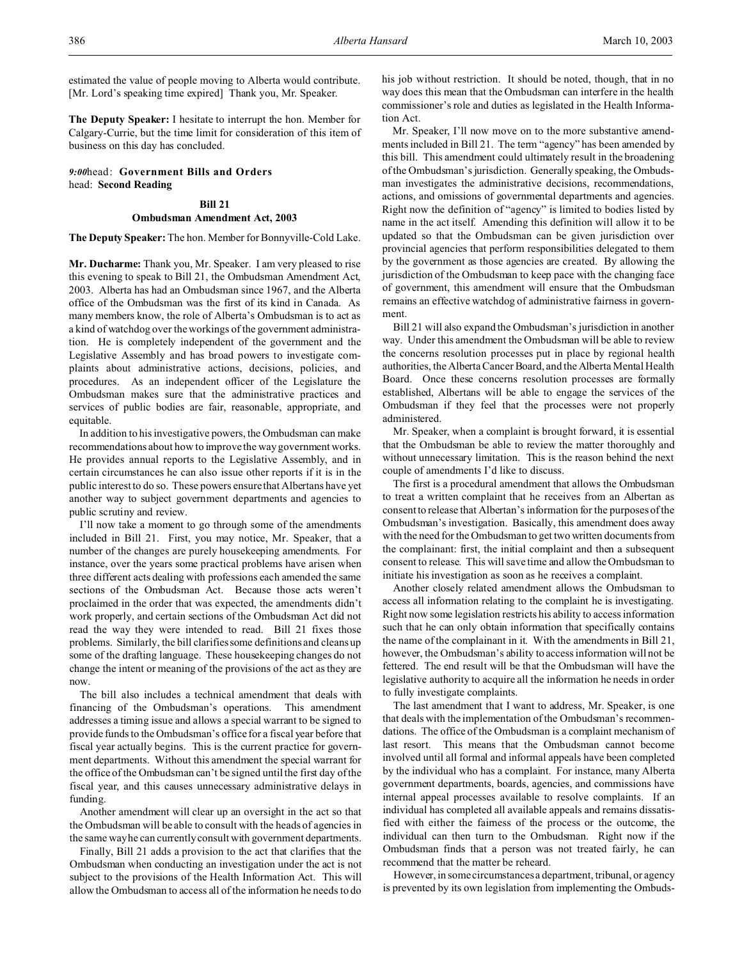estimated the value of people moving to Alberta would contribute. [Mr. Lord's speaking time expired] Thank you, Mr. Speaker.

**The Deputy Speaker:** I hesitate to interrupt the hon. Member for Calgary-Currie, but the time limit for consideration of this item of business on this day has concluded.

*9:00*head: **Government Bills and Orders** head: **Second Reading**

# **Bill 21 Ombudsman Amendment Act, 2003**

**The Deputy Speaker:** The hon. Member for Bonnyville-Cold Lake.

**Mr. Ducharme:** Thank you, Mr. Speaker. I am very pleased to rise this evening to speak to Bill 21, the Ombudsman Amendment Act, 2003. Alberta has had an Ombudsman since 1967, and the Alberta office of the Ombudsman was the first of its kind in Canada. As many members know, the role of Alberta's Ombudsman is to act as a kind of watchdog over the workings of the government administration. He is completely independent of the government and the Legislative Assembly and has broad powers to investigate complaints about administrative actions, decisions, policies, and procedures. As an independent officer of the Legislature the Ombudsman makes sure that the administrative practices and services of public bodies are fair, reasonable, appropriate, and equitable.

In addition to his investigative powers, the Ombudsman can make recommendations about how to improve the way government works. He provides annual reports to the Legislative Assembly, and in certain circumstances he can also issue other reports if it is in the public interest to do so. These powers ensure that Albertans have yet another way to subject government departments and agencies to public scrutiny and review.

I'll now take a moment to go through some of the amendments included in Bill 21. First, you may notice, Mr. Speaker, that a number of the changes are purely housekeeping amendments. For instance, over the years some practical problems have arisen when three different acts dealing with professions each amended the same sections of the Ombudsman Act. Because those acts weren't proclaimed in the order that was expected, the amendments didn't work properly, and certain sections of the Ombudsman Act did not read the way they were intended to read. Bill 21 fixes those problems. Similarly, the bill clarifies some definitions and cleans up some of the drafting language. These housekeeping changes do not change the intent or meaning of the provisions of the act as they are now.

The bill also includes a technical amendment that deals with financing of the Ombudsman's operations. This amendment addresses a timing issue and allows a special warrant to be signed to provide funds to the Ombudsman's office for a fiscal year before that fiscal year actually begins. This is the current practice for government departments. Without this amendment the special warrant for the office of the Ombudsman can't be signed until the first day of the fiscal year, and this causes unnecessary administrative delays in funding.

Another amendment will clear up an oversight in the act so that the Ombudsman will be able to consult with the heads of agencies in the same way he can currently consult with government departments.

Finally, Bill 21 adds a provision to the act that clarifies that the Ombudsman when conducting an investigation under the act is not subject to the provisions of the Health Information Act. This will allow the Ombudsman to access all of the information he needs to do

his job without restriction. It should be noted, though, that in no way does this mean that the Ombudsman can interfere in the health commissioner's role and duties as legislated in the Health Information Act.

Mr. Speaker, I'll now move on to the more substantive amendments included in Bill 21. The term "agency" has been amended by this bill. This amendment could ultimately result in the broadening of the Ombudsman's jurisdiction. Generally speaking, the Ombudsman investigates the administrative decisions, recommendations, actions, and omissions of governmental departments and agencies. Right now the definition of "agency" is limited to bodies listed by name in the act itself. Amending this definition will allow it to be updated so that the Ombudsman can be given jurisdiction over provincial agencies that perform responsibilities delegated to them by the government as those agencies are created. By allowing the jurisdiction of the Ombudsman to keep pace with the changing face of government, this amendment will ensure that the Ombudsman remains an effective watchdog of administrative fairness in government.

Bill 21 will also expand the Ombudsman's jurisdiction in another way. Under this amendment the Ombudsman will be able to review the concerns resolution processes put in place by regional health authorities, the Alberta Cancer Board, and the Alberta Mental Health Board. Once these concerns resolution processes are formally established, Albertans will be able to engage the services of the Ombudsman if they feel that the processes were not properly administered.

Mr. Speaker, when a complaint is brought forward, it is essential that the Ombudsman be able to review the matter thoroughly and without unnecessary limitation. This is the reason behind the next couple of amendments I'd like to discuss.

The first is a procedural amendment that allows the Ombudsman to treat a written complaint that he receives from an Albertan as consent to release that Albertan's information for the purposes of the Ombudsman's investigation. Basically, this amendment does away with the need for the Ombudsman to get two written documents from the complainant: first, the initial complaint and then a subsequent consent to release. This will save time and allow the Ombudsman to initiate his investigation as soon as he receives a complaint.

Another closely related amendment allows the Ombudsman to access all information relating to the complaint he is investigating. Right now some legislation restricts his ability to access information such that he can only obtain information that specifically contains the name of the complainant in it. With the amendments in Bill 21, however, the Ombudsman's ability to access information will not be fettered. The end result will be that the Ombudsman will have the legislative authority to acquire all the information he needs in order to fully investigate complaints.

The last amendment that I want to address, Mr. Speaker, is one that deals with the implementation of the Ombudsman's recommendations. The office of the Ombudsman is a complaint mechanism of last resort. This means that the Ombudsman cannot become involved until all formal and informal appeals have been completed by the individual who has a complaint. For instance, many Alberta government departments, boards, agencies, and commissions have internal appeal processes available to resolve complaints. If an individual has completed all available appeals and remains dissatisfied with either the fairness of the process or the outcome, the individual can then turn to the Ombudsman. Right now if the Ombudsman finds that a person was not treated fairly, he can recommend that the matter be reheard.

However, in some circumstances a department, tribunal, or agency is prevented by its own legislation from implementing the Ombuds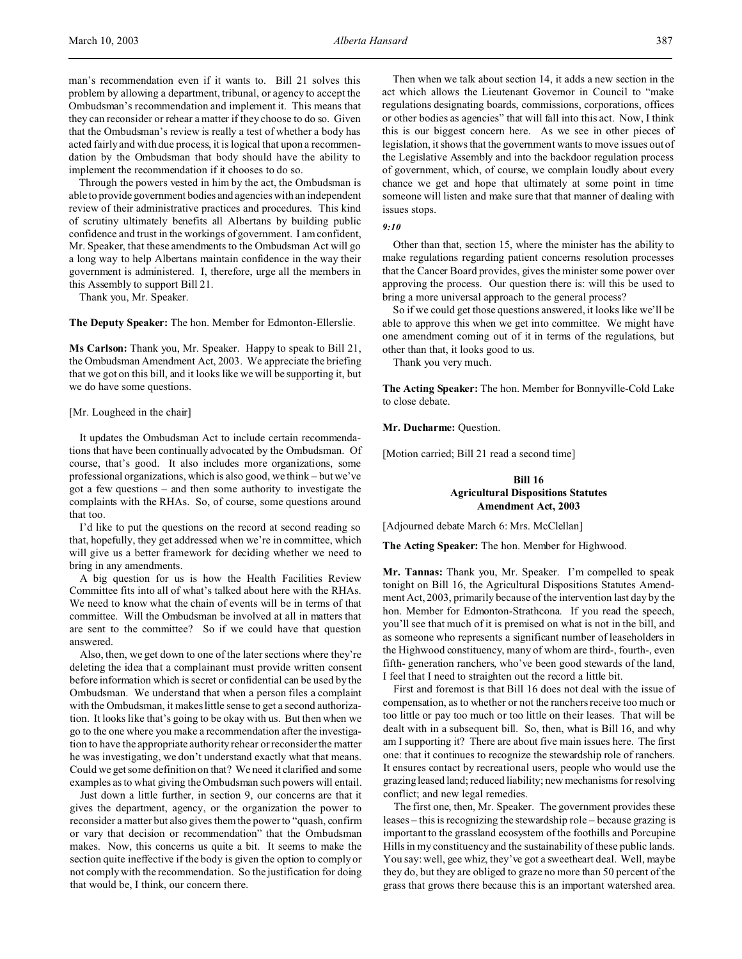man's recommendation even if it wants to. Bill 21 solves this problem by allowing a department, tribunal, or agency to accept the Ombudsman's recommendation and implement it. This means that they can reconsider or rehear a matter if they choose to do so. Given that the Ombudsman's review is really a test of whether a body has acted fairly and with due process, it is logical that upon a recommendation by the Ombudsman that body should have the ability to implement the recommendation if it chooses to do so.

Through the powers vested in him by the act, the Ombudsman is able to provide government bodies and agencies with an independent review of their administrative practices and procedures. This kind of scrutiny ultimately benefits all Albertans by building public confidence and trust in the workings of government. I am confident, Mr. Speaker, that these amendments to the Ombudsman Act will go a long way to help Albertans maintain confidence in the way their government is administered. I, therefore, urge all the members in this Assembly to support Bill 21.

Thank you, Mr. Speaker.

**The Deputy Speaker:** The hon. Member for Edmonton-Ellerslie.

**Ms Carlson:** Thank you, Mr. Speaker. Happy to speak to Bill 21, the Ombudsman Amendment Act, 2003. We appreciate the briefing that we got on this bill, and it looks like we will be supporting it, but we do have some questions.

#### [Mr. Lougheed in the chair]

It updates the Ombudsman Act to include certain recommendations that have been continually advocated by the Ombudsman. Of course, that's good. It also includes more organizations, some professional organizations, which is also good, we think – but we've got a few questions – and then some authority to investigate the complaints with the RHAs. So, of course, some questions around that too.

I'd like to put the questions on the record at second reading so that, hopefully, they get addressed when we're in committee, which will give us a better framework for deciding whether we need to bring in any amendments.

A big question for us is how the Health Facilities Review Committee fits into all of what's talked about here with the RHAs. We need to know what the chain of events will be in terms of that committee. Will the Ombudsman be involved at all in matters that are sent to the committee? So if we could have that question answered.

Also, then, we get down to one of the later sections where they're deleting the idea that a complainant must provide written consent before information which is secret or confidential can be used by the Ombudsman. We understand that when a person files a complaint with the Ombudsman, it makes little sense to get a second authorization. It looks like that's going to be okay with us. But then when we go to the one where you make a recommendation after the investigation to have the appropriate authority rehear or reconsider the matter he was investigating, we don't understand exactly what that means. Could we get some definition on that? We need it clarified and some examples as to what giving the Ombudsman such powers will entail.

Just down a little further, in section 9, our concerns are that it gives the department, agency, or the organization the power to reconsider a matter but also gives them the power to "quash, confirm or vary that decision or recommendation" that the Ombudsman makes. Now, this concerns us quite a bit. It seems to make the section quite ineffective if the body is given the option to comply or not comply with the recommendation. So the justification for doing that would be, I think, our concern there.

Then when we talk about section 14, it adds a new section in the act which allows the Lieutenant Governor in Council to "make regulations designating boards, commissions, corporations, offices or other bodies as agencies" that will fall into this act. Now, I think this is our biggest concern here. As we see in other pieces of legislation, it shows that the government wants to move issues out of the Legislative Assembly and into the backdoor regulation process of government, which, of course, we complain loudly about every chance we get and hope that ultimately at some point in time someone will listen and make sure that that manner of dealing with issues stops.

#### *9:10*

Other than that, section 15, where the minister has the ability to make regulations regarding patient concerns resolution processes that the Cancer Board provides, gives the minister some power over approving the process. Our question there is: will this be used to bring a more universal approach to the general process?

So if we could get those questions answered, it looks like we'll be able to approve this when we get into committee. We might have one amendment coming out of it in terms of the regulations, but other than that, it looks good to us.

Thank you very much.

**The Acting Speaker:** The hon. Member for Bonnyville-Cold Lake to close debate.

**Mr. Ducharme:** Question.

[Motion carried; Bill 21 read a second time]

# **Bill 16 Agricultural Dispositions Statutes Amendment Act, 2003**

[Adjourned debate March 6: Mrs. McClellan]

**The Acting Speaker:** The hon. Member for Highwood.

**Mr. Tannas:** Thank you, Mr. Speaker. I'm compelled to speak tonight on Bill 16, the Agricultural Dispositions Statutes Amendment Act, 2003, primarily because of the intervention last day by the hon. Member for Edmonton-Strathcona. If you read the speech, you'll see that much of it is premised on what is not in the bill, and as someone who represents a significant number of leaseholders in the Highwood constituency, many of whom are third-, fourth-, even fifth- generation ranchers, who've been good stewards of the land, I feel that I need to straighten out the record a little bit.

First and foremost is that Bill 16 does not deal with the issue of compensation, as to whether or not the ranchers receive too much or too little or pay too much or too little on their leases. That will be dealt with in a subsequent bill. So, then, what is Bill 16, and why am I supporting it? There are about five main issues here. The first one: that it continues to recognize the stewardship role of ranchers. It ensures contact by recreational users, people who would use the grazing leased land; reduced liability; new mechanisms for resolving conflict; and new legal remedies.

The first one, then, Mr. Speaker. The government provides these leases – this is recognizing the stewardship role – because grazing is important to the grassland ecosystem of the foothills and Porcupine Hills in my constituency and the sustainability of these public lands. You say: well, gee whiz, they've got a sweetheart deal. Well, maybe they do, but they are obliged to graze no more than 50 percent of the grass that grows there because this is an important watershed area.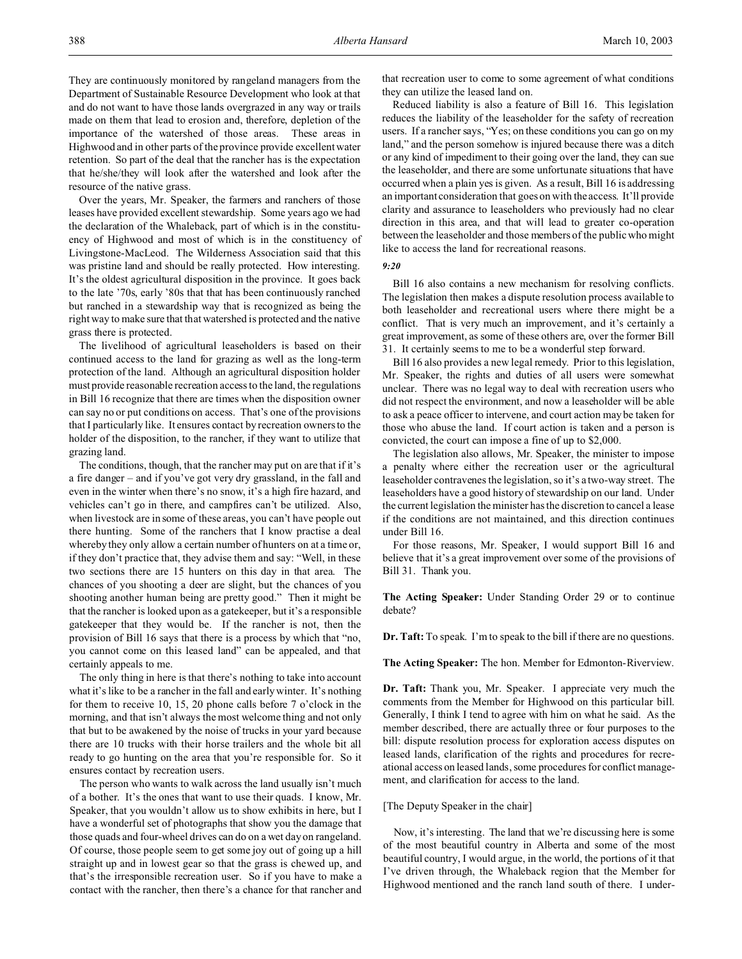Over the years, Mr. Speaker, the farmers and ranchers of those leases have provided excellent stewardship. Some years ago we had the declaration of the Whaleback, part of which is in the constituency of Highwood and most of which is in the constituency of Livingstone-MacLeod. The Wilderness Association said that this was pristine land and should be really protected. How interesting. It's the oldest agricultural disposition in the province. It goes back to the late '70s, early '80s that that has been continuously ranched but ranched in a stewardship way that is recognized as being the right way to make sure that that watershed is protected and the native grass there is protected.

The livelihood of agricultural leaseholders is based on their continued access to the land for grazing as well as the long-term protection of the land. Although an agricultural disposition holder must provide reasonable recreation access to the land, the regulations in Bill 16 recognize that there are times when the disposition owner can say no or put conditions on access. That's one of the provisions that I particularly like. It ensures contact by recreation owners to the holder of the disposition, to the rancher, if they want to utilize that grazing land.

The conditions, though, that the rancher may put on are that if it's a fire danger – and if you've got very dry grassland, in the fall and even in the winter when there's no snow, it's a high fire hazard, and vehicles can't go in there, and campfires can't be utilized. Also, when livestock are in some of these areas, you can't have people out there hunting. Some of the ranchers that I know practise a deal whereby they only allow a certain number of hunters on at a time or, if they don't practice that, they advise them and say: "Well, in these two sections there are 15 hunters on this day in that area. The chances of you shooting a deer are slight, but the chances of you shooting another human being are pretty good." Then it might be that the rancher is looked upon as a gatekeeper, but it's a responsible gatekeeper that they would be. If the rancher is not, then the provision of Bill 16 says that there is a process by which that "no, you cannot come on this leased land" can be appealed, and that certainly appeals to me.

The only thing in here is that there's nothing to take into account what it's like to be a rancher in the fall and early winter. It's nothing for them to receive 10, 15, 20 phone calls before 7 o'clock in the morning, and that isn't always the most welcome thing and not only that but to be awakened by the noise of trucks in your yard because there are 10 trucks with their horse trailers and the whole bit all ready to go hunting on the area that you're responsible for. So it ensures contact by recreation users.

The person who wants to walk across the land usually isn't much of a bother. It's the ones that want to use their quads. I know, Mr. Speaker, that you wouldn't allow us to show exhibits in here, but I have a wonderful set of photographs that show you the damage that those quads and four-wheel drives can do on a wet day on rangeland. Of course, those people seem to get some joy out of going up a hill straight up and in lowest gear so that the grass is chewed up, and that's the irresponsible recreation user. So if you have to make a contact with the rancher, then there's a chance for that rancher and

that recreation user to come to some agreement of what conditions they can utilize the leased land on.

Reduced liability is also a feature of Bill 16. This legislation reduces the liability of the leaseholder for the safety of recreation users. If a rancher says, "Yes; on these conditions you can go on my land," and the person somehow is injured because there was a ditch or any kind of impediment to their going over the land, they can sue the leaseholder, and there are some unfortunate situations that have occurred when a plain yes is given. As a result, Bill 16 is addressing an important consideration that goes on with the access. It'll provide clarity and assurance to leaseholders who previously had no clear direction in this area, and that will lead to greater co-operation between the leaseholder and those members of the public who might like to access the land for recreational reasons.

*9:20*

Bill 16 also contains a new mechanism for resolving conflicts. The legislation then makes a dispute resolution process available to both leaseholder and recreational users where there might be a conflict. That is very much an improvement, and it's certainly a great improvement, as some of these others are, over the former Bill 31. It certainly seems to me to be a wonderful step forward.

Bill 16 also provides a new legal remedy. Prior to this legislation, Mr. Speaker, the rights and duties of all users were somewhat unclear. There was no legal way to deal with recreation users who did not respect the environment, and now a leaseholder will be able to ask a peace officer to intervene, and court action may be taken for those who abuse the land. If court action is taken and a person is convicted, the court can impose a fine of up to \$2,000.

The legislation also allows, Mr. Speaker, the minister to impose a penalty where either the recreation user or the agricultural leaseholder contravenes the legislation, so it's a two-way street. The leaseholders have a good history of stewardship on our land. Under the current legislation the minister has the discretion to cancel a lease if the conditions are not maintained, and this direction continues under Bill 16.

For those reasons, Mr. Speaker, I would support Bill 16 and believe that it's a great improvement over some of the provisions of Bill 31. Thank you.

**The Acting Speaker:** Under Standing Order 29 or to continue debate?

**Dr. Taft:** To speak. I'm to speak to the bill if there are no questions.

**The Acting Speaker:** The hon. Member for Edmonton-Riverview.

**Dr. Taft:** Thank you, Mr. Speaker. I appreciate very much the comments from the Member for Highwood on this particular bill. Generally, I think I tend to agree with him on what he said. As the member described, there are actually three or four purposes to the bill: dispute resolution process for exploration access disputes on leased lands, clarification of the rights and procedures for recreational access on leased lands, some procedures for conflict management, and clarification for access to the land.

## [The Deputy Speaker in the chair]

Now, it's interesting. The land that we're discussing here is some of the most beautiful country in Alberta and some of the most beautiful country, I would argue, in the world, the portions of it that I've driven through, the Whaleback region that the Member for Highwood mentioned and the ranch land south of there. I under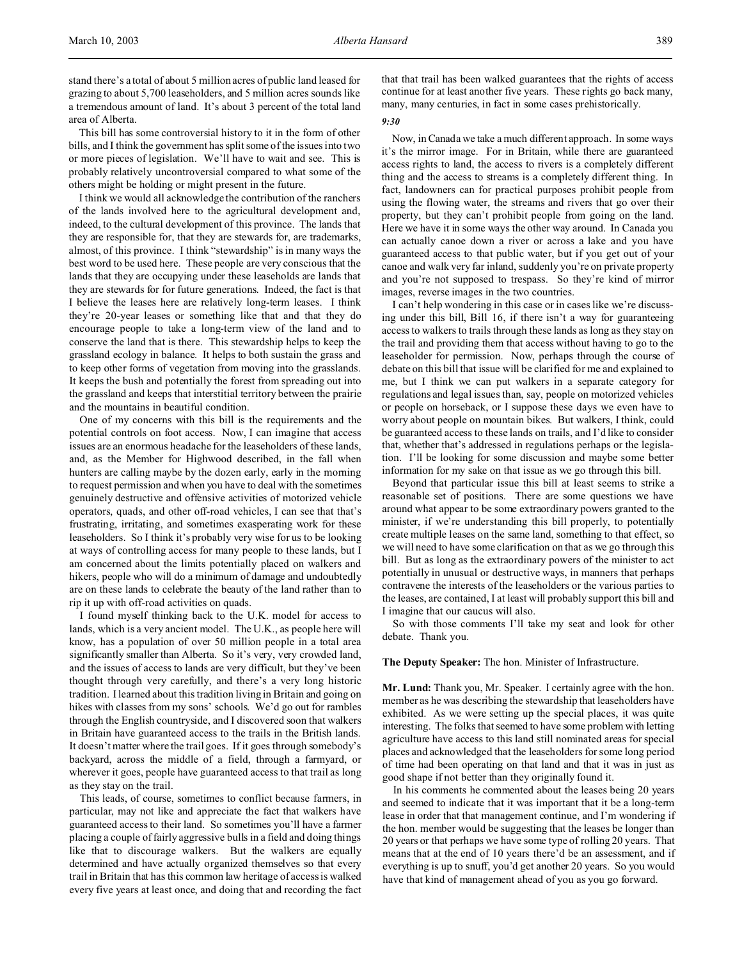stand there's a total of about 5 million acres of public land leased for grazing to about 5,700 leaseholders, and 5 million acres sounds like a tremendous amount of land. It's about 3 percent of the total land area of Alberta.

This bill has some controversial history to it in the form of other bills, and I think the government has split some of the issues into two or more pieces of legislation. We'll have to wait and see. This is probably relatively uncontroversial compared to what some of the others might be holding or might present in the future.

I think we would all acknowledge the contribution of the ranchers of the lands involved here to the agricultural development and, indeed, to the cultural development of this province. The lands that they are responsible for, that they are stewards for, are trademarks, almost, of this province. I think "stewardship" is in many ways the best word to be used here. These people are very conscious that the lands that they are occupying under these leaseholds are lands that they are stewards for for future generations. Indeed, the fact is that I believe the leases here are relatively long-term leases. I think they're 20-year leases or something like that and that they do encourage people to take a long-term view of the land and to conserve the land that is there. This stewardship helps to keep the grassland ecology in balance. It helps to both sustain the grass and to keep other forms of vegetation from moving into the grasslands. It keeps the bush and potentially the forest from spreading out into the grassland and keeps that interstitial territory between the prairie and the mountains in beautiful condition.

One of my concerns with this bill is the requirements and the potential controls on foot access. Now, I can imagine that access issues are an enormous headache for the leaseholders of these lands, and, as the Member for Highwood described, in the fall when hunters are calling maybe by the dozen early, early in the morning to request permission and when you have to deal with the sometimes genuinely destructive and offensive activities of motorized vehicle operators, quads, and other off-road vehicles, I can see that that's frustrating, irritating, and sometimes exasperating work for these leaseholders. So I think it's probably very wise for us to be looking at ways of controlling access for many people to these lands, but I am concerned about the limits potentially placed on walkers and hikers, people who will do a minimum of damage and undoubtedly are on these lands to celebrate the beauty of the land rather than to rip it up with off-road activities on quads.

I found myself thinking back to the U.K. model for access to lands, which is a very ancient model. The U.K., as people here will know, has a population of over 50 million people in a total area significantly smaller than Alberta. So it's very, very crowded land, and the issues of access to lands are very difficult, but they've been thought through very carefully, and there's a very long historic tradition. I learned about this tradition living in Britain and going on hikes with classes from my sons' schools. We'd go out for rambles through the English countryside, and I discovered soon that walkers in Britain have guaranteed access to the trails in the British lands. It doesn't matter where the trail goes. If it goes through somebody's backyard, across the middle of a field, through a farmyard, or wherever it goes, people have guaranteed access to that trail as long as they stay on the trail.

This leads, of course, sometimes to conflict because farmers, in particular, may not like and appreciate the fact that walkers have guaranteed access to their land. So sometimes you'll have a farmer placing a couple of fairly aggressive bulls in a field and doing things like that to discourage walkers. But the walkers are equally determined and have actually organized themselves so that every trail in Britain that has this common law heritage of access is walked every five years at least once, and doing that and recording the fact that that trail has been walked guarantees that the rights of access continue for at least another five years. These rights go back many, many, many centuries, in fact in some cases prehistorically.

## *9:30*

Now, in Canada we take a much different approach. In some ways it's the mirror image. For in Britain, while there are guaranteed access rights to land, the access to rivers is a completely different thing and the access to streams is a completely different thing. In fact, landowners can for practical purposes prohibit people from using the flowing water, the streams and rivers that go over their property, but they can't prohibit people from going on the land. Here we have it in some ways the other way around. In Canada you can actually canoe down a river or across a lake and you have guaranteed access to that public water, but if you get out of your canoe and walk very far inland, suddenly you're on private property and you're not supposed to trespass. So they're kind of mirror images, reverse images in the two countries.

I can't help wondering in this case or in cases like we're discussing under this bill, Bill 16, if there isn't a way for guaranteeing access to walkers to trails through these lands as long as they stay on the trail and providing them that access without having to go to the leaseholder for permission. Now, perhaps through the course of debate on this bill that issue will be clarified for me and explained to me, but I think we can put walkers in a separate category for regulations and legal issues than, say, people on motorized vehicles or people on horseback, or I suppose these days we even have to worry about people on mountain bikes. But walkers, I think, could be guaranteed access to these lands on trails, and I'd like to consider that, whether that's addressed in regulations perhaps or the legislation. I'll be looking for some discussion and maybe some better information for my sake on that issue as we go through this bill.

Beyond that particular issue this bill at least seems to strike a reasonable set of positions. There are some questions we have around what appear to be some extraordinary powers granted to the minister, if we're understanding this bill properly, to potentially create multiple leases on the same land, something to that effect, so we will need to have some clarification on that as we go through this bill. But as long as the extraordinary powers of the minister to act potentially in unusual or destructive ways, in manners that perhaps contravene the interests of the leaseholders or the various parties to the leases, are contained, I at least will probably support this bill and I imagine that our caucus will also.

So with those comments I'll take my seat and look for other debate. Thank you.

**The Deputy Speaker:** The hon. Minister of Infrastructure.

**Mr. Lund:** Thank you, Mr. Speaker. I certainly agree with the hon. member as he was describing the stewardship that leaseholders have exhibited. As we were setting up the special places, it was quite interesting. The folks that seemed to have some problem with letting agriculture have access to this land still nominated areas for special places and acknowledged that the leaseholders for some long period of time had been operating on that land and that it was in just as good shape if not better than they originally found it.

In his comments he commented about the leases being 20 years and seemed to indicate that it was important that it be a long-term lease in order that that management continue, and I'm wondering if the hon. member would be suggesting that the leases be longer than 20 years or that perhaps we have some type of rolling 20 years. That means that at the end of 10 years there'd be an assessment, and if everything is up to snuff, you'd get another 20 years. So you would have that kind of management ahead of you as you go forward.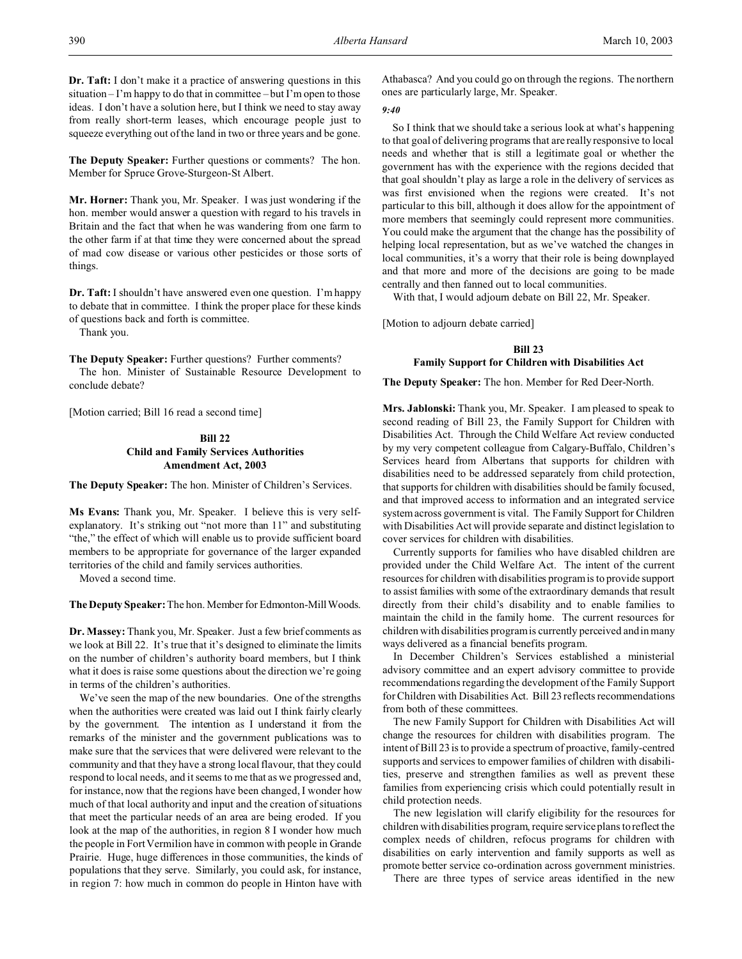**Dr. Taft:** I don't make it a practice of answering questions in this situation – I'm happy to do that in committee – but I'm open to those ideas. I don't have a solution here, but I think we need to stay away from really short-term leases, which encourage people just to

**The Deputy Speaker:** Further questions or comments? The hon. Member for Spruce Grove-Sturgeon-St Albert.

squeeze everything out of the land in two or three years and be gone.

**Mr. Horner:** Thank you, Mr. Speaker. I was just wondering if the hon. member would answer a question with regard to his travels in Britain and the fact that when he was wandering from one farm to the other farm if at that time they were concerned about the spread of mad cow disease or various other pesticides or those sorts of things.

**Dr. Taft:** I shouldn't have answered even one question. I'm happy to debate that in committee. I think the proper place for these kinds of questions back and forth is committee.

Thank you.

**The Deputy Speaker:** Further questions? Further comments?

The hon. Minister of Sustainable Resource Development to conclude debate?

[Motion carried; Bill 16 read a second time]

# **Bill 22 Child and Family Services Authorities Amendment Act, 2003**

**The Deputy Speaker:** The hon. Minister of Children's Services.

**Ms Evans:** Thank you, Mr. Speaker. I believe this is very selfexplanatory. It's striking out "not more than 11" and substituting "the," the effect of which will enable us to provide sufficient board members to be appropriate for governance of the larger expanded territories of the child and family services authorities.

Moved a second time.

The Deputy Speaker: The hon. Member for Edmonton-Mill Woods.

**Dr. Massey:** Thank you, Mr. Speaker. Just a few brief comments as we look at Bill 22. It's true that it's designed to eliminate the limits on the number of children's authority board members, but I think what it does is raise some questions about the direction we're going in terms of the children's authorities.

We've seen the map of the new boundaries. One of the strengths when the authorities were created was laid out I think fairly clearly by the government. The intention as I understand it from the remarks of the minister and the government publications was to make sure that the services that were delivered were relevant to the community and that they have a strong local flavour, that they could respond to local needs, and it seems to me that as we progressed and, for instance, now that the regions have been changed, I wonder how much of that local authority and input and the creation of situations that meet the particular needs of an area are being eroded. If you look at the map of the authorities, in region 8 I wonder how much the people in Fort Vermilion have in common with people in Grande Prairie. Huge, huge differences in those communities, the kinds of populations that they serve. Similarly, you could ask, for instance, in region 7: how much in common do people in Hinton have with

Athabasca? And you could go on through the regions. The northern ones are particularly large, Mr. Speaker.

### *9:40*

So I think that we should take a serious look at what's happening to that goal of delivering programs that are really responsive to local needs and whether that is still a legitimate goal or whether the government has with the experience with the regions decided that that goal shouldn't play as large a role in the delivery of services as was first envisioned when the regions were created. It's not particular to this bill, although it does allow for the appointment of more members that seemingly could represent more communities. You could make the argument that the change has the possibility of helping local representation, but as we've watched the changes in local communities, it's a worry that their role is being downplayed and that more and more of the decisions are going to be made centrally and then fanned out to local communities.

With that, I would adjourn debate on Bill 22, Mr. Speaker.

[Motion to adjourn debate carried]

#### **Bill 23**

### **Family Support for Children with Disabilities Act**

**The Deputy Speaker:** The hon. Member for Red Deer-North.

**Mrs. Jablonski:** Thank you, Mr. Speaker. I am pleased to speak to second reading of Bill 23, the Family Support for Children with Disabilities Act. Through the Child Welfare Act review conducted by my very competent colleague from Calgary-Buffalo, Children's Services heard from Albertans that supports for children with disabilities need to be addressed separately from child protection, that supports for children with disabilities should be family focused, and that improved access to information and an integrated service system across government is vital. The Family Support for Children with Disabilities Act will provide separate and distinct legislation to cover services for children with disabilities.

Currently supports for families who have disabled children are provided under the Child Welfare Act. The intent of the current resources for children with disabilities program is to provide support to assist families with some of the extraordinary demands that result directly from their child's disability and to enable families to maintain the child in the family home. The current resources for children with disabilities program is currently perceived and in many ways delivered as a financial benefits program.

In December Children's Services established a ministerial advisory committee and an expert advisory committee to provide recommendations regarding the development of the Family Support for Children with Disabilities Act. Bill 23 reflects recommendations from both of these committees.

The new Family Support for Children with Disabilities Act will change the resources for children with disabilities program. The intent of Bill 23 is to provide a spectrum of proactive, family-centred supports and services to empower families of children with disabilities, preserve and strengthen families as well as prevent these families from experiencing crisis which could potentially result in child protection needs.

The new legislation will clarify eligibility for the resources for children with disabilities program, require service plans to reflect the complex needs of children, refocus programs for children with disabilities on early intervention and family supports as well as promote better service co-ordination across government ministries.

There are three types of service areas identified in the new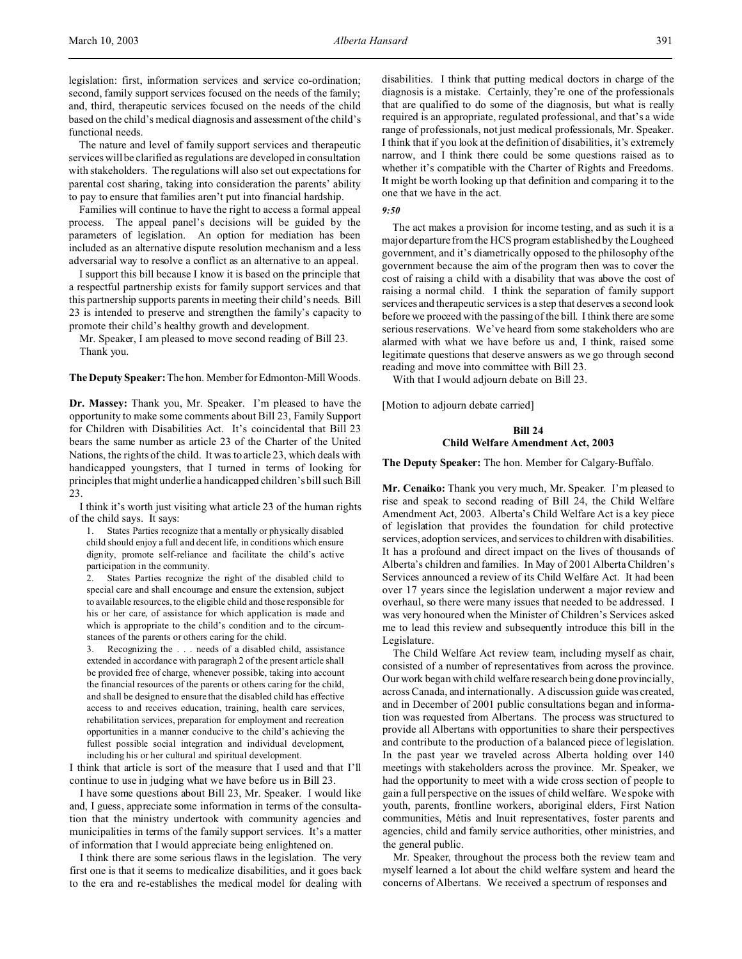legislation: first, information services and service co-ordination; second, family support services focused on the needs of the family; and, third, therapeutic services focused on the needs of the child based on the child's medical diagnosis and assessment of the child's functional needs.

The nature and level of family support services and therapeutic services will be clarified as regulations are developed in consultation with stakeholders. The regulations will also set out expectations for parental cost sharing, taking into consideration the parents' ability to pay to ensure that families aren't put into financial hardship.

Families will continue to have the right to access a formal appeal process. The appeal panel's decisions will be guided by the parameters of legislation. An option for mediation has been included as an alternative dispute resolution mechanism and a less adversarial way to resolve a conflict as an alternative to an appeal.

I support this bill because I know it is based on the principle that a respectful partnership exists for family support services and that this partnership supports parents in meeting their child's needs. Bill 23 is intended to preserve and strengthen the family's capacity to promote their child's healthy growth and development.

Mr. Speaker, I am pleased to move second reading of Bill 23. Thank you.

**The Deputy Speaker:** The hon. Member forEdmonton-Mill Woods.

**Dr. Massey:** Thank you, Mr. Speaker. I'm pleased to have the opportunity to make some comments about Bill 23, Family Support for Children with Disabilities Act. It's coincidental that Bill 23 bears the same number as article 23 of the Charter of the United Nations, the rights of the child. It was to article 23, which deals with handicapped youngsters, that I turned in terms of looking for principles that might underlie a handicapped children's bill such Bill 23.

I think it's worth just visiting what article 23 of the human rights of the child says. It says:

1. States Parties recognize that a mentally or physically disabled child should enjoy a full and decent life, in conditions which ensure dignity, promote self-reliance and facilitate the child's active participation in the community.

2. States Parties recognize the right of the disabled child to special care and shall encourage and ensure the extension, subject to available resources, to the eligible child and those responsible for his or her care, of assistance for which application is made and which is appropriate to the child's condition and to the circumstances of the parents or others caring for the child.

3. Recognizing the . . . needs of a disabled child, assistance extended in accordance with paragraph 2 of the present article shall be provided free of charge, whenever possible, taking into account the financial resources of the parents or others caring for the child, and shall be designed to ensure that the disabled child has effective access to and receives education, training, health care services, rehabilitation services, preparation for employment and recreation opportunities in a manner conducive to the child's achieving the fullest possible social integration and individual development, including his or her cultural and spiritual development.

I think that article is sort of the measure that I used and that I'll continue to use in judging what we have before us in Bill 23.

I have some questions about Bill 23, Mr. Speaker. I would like and, I guess, appreciate some information in terms of the consultation that the ministry undertook with community agencies and municipalities in terms of the family support services. It's a matter of information that I would appreciate being enlightened on.

I think there are some serious flaws in the legislation. The very first one is that it seems to medicalize disabilities, and it goes back to the era and re-establishes the medical model for dealing with

disabilities. I think that putting medical doctors in charge of the diagnosis is a mistake. Certainly, they're one of the professionals that are qualified to do some of the diagnosis, but what is really required is an appropriate, regulated professional, and that's a wide range of professionals, not just medical professionals, Mr. Speaker. I think that if you look at the definition of disabilities, it's extremely narrow, and I think there could be some questions raised as to whether it's compatible with the Charter of Rights and Freedoms. It might be worth looking up that definition and comparing it to the one that we have in the act.

*9:50*

The act makes a provision for income testing, and as such it is a major departure from the HCS program established by the Lougheed government, and it's diametrically opposed to the philosophy of the government because the aim of the program then was to cover the cost of raising a child with a disability that was above the cost of raising a normal child. I think the separation of family support services and therapeutic services is a step that deserves a second look before we proceed with the passing of the bill. I think there are some serious reservations. We've heard from some stakeholders who are alarmed with what we have before us and, I think, raised some legitimate questions that deserve answers as we go through second reading and move into committee with Bill 23.

With that I would adjourn debate on Bill 23.

[Motion to adjourn debate carried]

# **Bill 24 Child Welfare Amendment Act, 2003**

**The Deputy Speaker:** The hon. Member for Calgary-Buffalo.

**Mr. Cenaiko:** Thank you very much, Mr. Speaker. I'm pleased to rise and speak to second reading of Bill 24, the Child Welfare Amendment Act, 2003. Alberta's Child Welfare Act is a key piece of legislation that provides the foundation for child protective services, adoption services, and services to children with disabilities. It has a profound and direct impact on the lives of thousands of Alberta's children and families. In May of 2001 Alberta Children's Services announced a review of its Child Welfare Act. It had been over 17 years since the legislation underwent a major review and overhaul, so there were many issues that needed to be addressed. I was very honoured when the Minister of Children's Services asked me to lead this review and subsequently introduce this bill in the Legislature.

The Child Welfare Act review team, including myself as chair, consisted of a number of representatives from across the province. Our work began with child welfare research being done provincially, across Canada, and internationally. A discussion guide was created, and in December of 2001 public consultations began and information was requested from Albertans. The process was structured to provide all Albertans with opportunities to share their perspectives and contribute to the production of a balanced piece of legislation. In the past year we traveled across Alberta holding over 140 meetings with stakeholders across the province. Mr. Speaker, we had the opportunity to meet with a wide cross section of people to gain a full perspective on the issues of child welfare. We spoke with youth, parents, frontline workers, aboriginal elders, First Nation communities, Métis and Inuit representatives, foster parents and agencies, child and family service authorities, other ministries, and the general public.

Mr. Speaker, throughout the process both the review team and myself learned a lot about the child welfare system and heard the concerns of Albertans. We received a spectrum of responses and